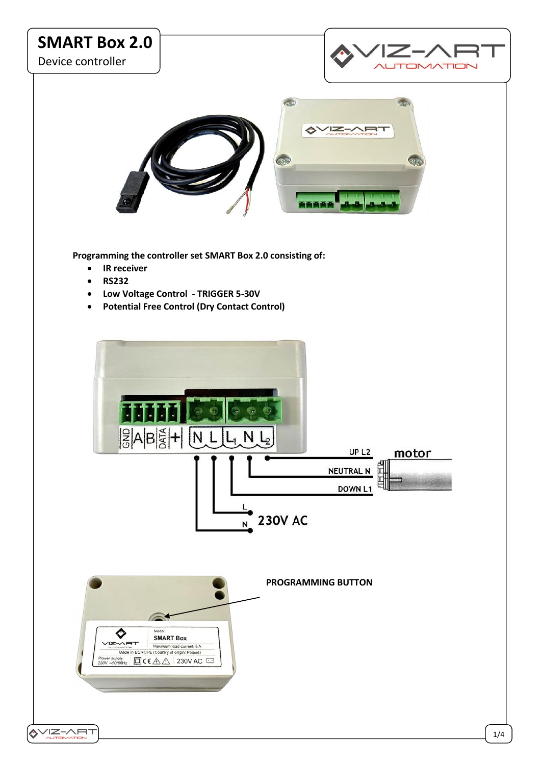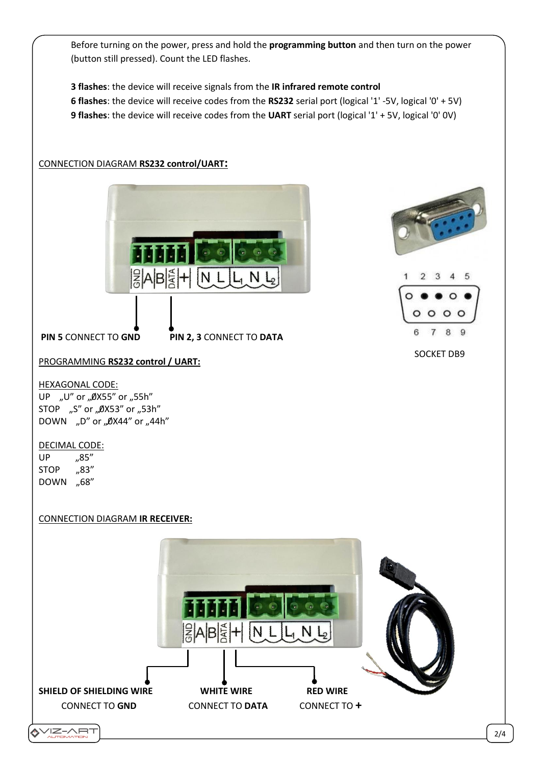Before turning on the power, press and hold the **programming button** and then turn on the power (button still pressed). Count the LED flashes.

**3 flashes**: the device will receive signals from the **IR infrared remote control 6 flashes**: the device will receive codes from the **RS232** serial port (logical '1' -5V, logical '0' + 5V) **9 flashes**: the device will receive codes from the **UART** serial port (logical '1' + 5V, logical '0' 0V)

# CONNECTION DIAGRAM **RS232 control/UART:**





SOCKET DB9

PROGRAMMING **RS232 control / UART:**

**PIN 5** CONNECT TO **GND PIN 2, 3** CONNECT TO **DATA**

HEXAGONAL CODE:

UP "U" or "ØX55" or "55h" STOP "S" or "ØX53" or "53h" DOWN "D" or "ØX44" or "44h"

# DECIMAL CODE:

 $UP$   $.85"$ STOP "83" DOWN "68"

CONNECTION DIAGRAM **IR RECEIVER:**

# |ਊ|A|B|ਊ|+| (N L N **SHIELD OF SHIELDING WIRE WHITE WIRE RED WIRE**  CONNECT TO **GND** CONNECT TO **DATA** CONNECT TO **+**  $Z-AHT$

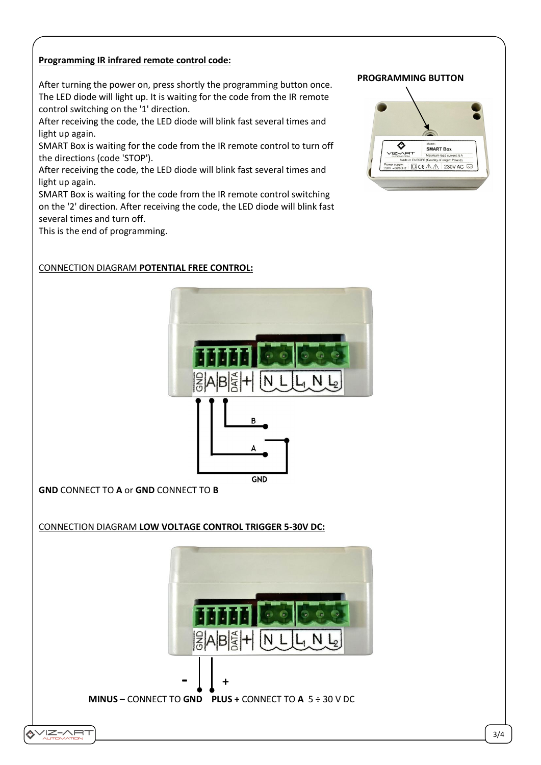# **Programming IR infrared remote control code:**

After turning the power on, press shortly the programming button once. The LED diode will light up. It is waiting for the code from the IR remote control switching on the '1' direction.

After receiving the code, the LED diode will blink fast several times and light up again.

SMART Box is waiting for the code from the IR remote control to turn off the directions (code 'STOP').

After receiving the code, the LED diode will blink fast several times and light up again.

SMART Box is waiting for the code from the IR remote control switching on the '2' direction. After receiving the code, the LED diode will blink fast several times and turn off.

This is the end of programming.

## CONNECTION DIAGRAM **POTENTIAL FREE CONTROL:**



**GND** CONNECT TO **A** or **GND** CONNECT TO **B**

**IZ-ART** 

CONNECTION DIAGRAM **LOW VOLTAGE CONTROL TRIGGER 5-30V DC:**



### **PROGRAMMING BUTTON**